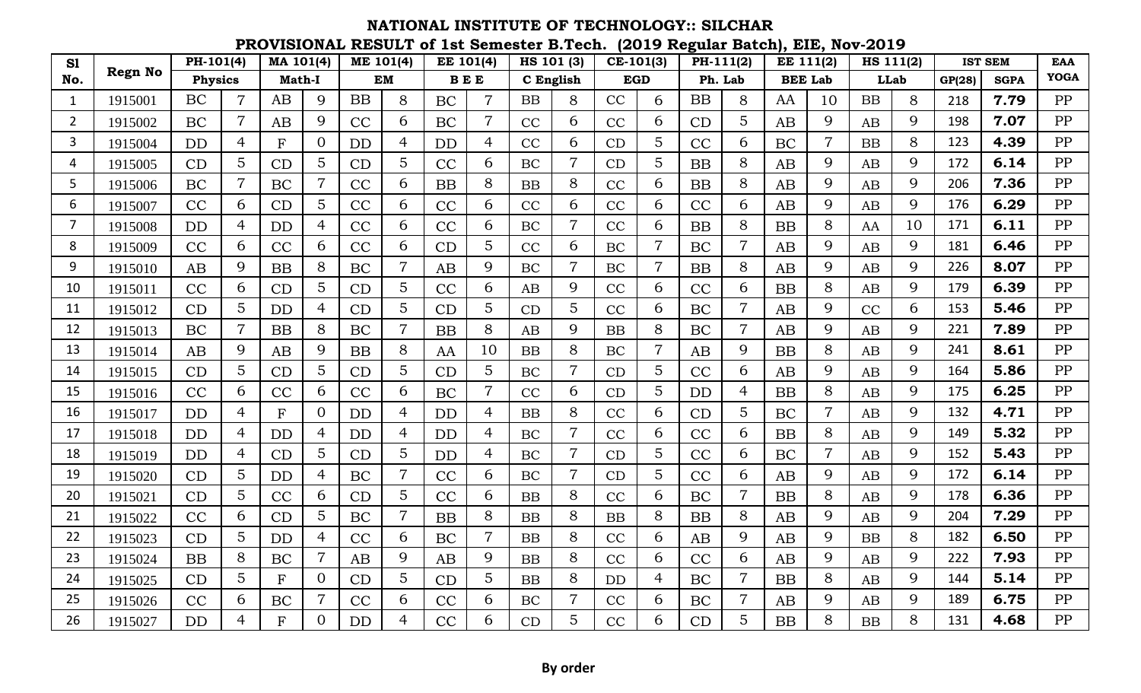## **PROVISIONAL RESULT of 1st Semester B.Tech. (2019 Regular Batch), EIE, Nov-2019 NATIONAL INSTITUTE OF TECHNOLOGY:: SILCHAR**

| S1             |                | $PH-101(4)$ |                | MA 101(4)    |                | ME 101(4) |                | EE 101(4) |                |           | HS 101 (3)     |           | $CE-101(3)$ | PH-111(2) |                | <b>EE 111(2)</b> |                |             | HS 111(2) |        | <b>IST SEM</b> | <b>EAA</b>  |
|----------------|----------------|-------------|----------------|--------------|----------------|-----------|----------------|-----------|----------------|-----------|----------------|-----------|-------------|-----------|----------------|------------------|----------------|-------------|-----------|--------|----------------|-------------|
| No.            | <b>Regn No</b> | Physics     |                | Math-I       |                | EM        |                | $B E E$   |                |           | C English      |           | <b>EGD</b>  |           | Ph. Lab        |                  | <b>BEE Lab</b> | <b>LLab</b> |           | GP(28) | <b>SGPA</b>    | <b>YOGA</b> |
| $\mathbf{1}$   | 1915001        | BC          |                | AB           | 9              | <b>BB</b> | 8              | <b>BC</b> | 7              | <b>BB</b> | 8              | CC        | 6           | <b>BB</b> | 8              | AA               | 10             | <b>BB</b>   | 8         | 218    | 7.79           | PP          |
| $\overline{2}$ | 1915002        | BC          |                | AB           | 9              | CC        | 6              | BC        | $\overline{7}$ | CC        | 6              | CC        | 6           | CD        | 5              | AB               | 9              | AB          | 9         | 198    | 7.07           | PP          |
| 3              | 1915004        | <b>DD</b>   | 4              | F            | $\Omega$       | <b>DD</b> | 4              | <b>DD</b> | 4              | CC        | 6              | CD        | 5           | CC        | 6              | <b>BC</b>        | $\overline{7}$ | <b>BB</b>   | 8         | 123    | 4.39           | PP          |
| 4              | 1915005        | CD          | 5              | CD           | 5              | CD        | 5              | CC        | 6              | BC        |                | CD        | 5           | <b>BB</b> | 8              | AB               | 9              | AB          | 9         | 172    | 6.14           | PP          |
| 5              | 1915006        | BC          | $\overline{7}$ | BC           | $\overline{7}$ | CC        | 6              | BB        | 8              | <b>BB</b> | 8              | CC        | 6           | <b>BB</b> | 8              | AB               | 9              | AB          | 9         | 206    | 7.36           | PP          |
| 6              | 1915007        | CC          | 6              | CD           | 5              | CC        | 6              | CC        | 6              | CC        | 6              | CC        | 6           | CC        | 6              | AB               | 9              | AB          | 9         | 176    | 6.29           | PP          |
| 7              | 1915008        | <b>DD</b>   | 4              | <b>DD</b>    | $\overline{4}$ | CC        | 6              | CC        | 6              | BC        |                | CC        | 6           | <b>BB</b> | 8              | <b>BB</b>        | 8              | AA          | 10        | 171    | 6.11           | PP          |
| 8              | 1915009        | CC          | 6              | CC           | 6              | CC        | 6              | CD        | 5              | CC        | 6              | BC        | 7           | BC        | $\overline{7}$ | AB               | 9              | AB          | 9         | 181    | 6.46           | PP          |
| 9              | 1915010        | AB          | 9              | <b>BB</b>    | 8              | BC        | $\overline{7}$ | AB        | 9              | <b>BC</b> | $\overline{7}$ | <b>BC</b> | 7           | <b>BB</b> | 8              | AB               | 9              | AB          | 9         | 226    | 8.07           | PP          |
| 10             | 1915011        | CC          | 6              | CD           | 5              | CD        | 5              | CC        | 6              | AB        | 9              | CC        | 6           | CC        | 6              | <b>BB</b>        | 8              | AB          | 9         | 179    | 6.39           | PP          |
| 11             | 1915012        | CD          | 5              | <b>DD</b>    | $\overline{4}$ | CD        | 5              | CD        | 5              | CD        | 5              | CC        | 6           | BC        | $\overline{7}$ | AB               | 9              | CC          | 6         | 153    | 5.46           | PP          |
| 12             | 1915013        | <b>BC</b>   | 7              | <b>BB</b>    | 8              | BC        | $\overline{7}$ | <b>BB</b> | 8              | AB        | 9              | <b>BB</b> | 8           | BC        | $\overline{7}$ | AB               | 9              | AB          | 9         | 221    | 7.89           | PP          |
| 13             | 1915014        | AB          | 9              | AB           | 9              | <b>BB</b> | 8              | AA        | 10             | <b>BB</b> | 8              | BC        |             | AB        | 9              | <b>BB</b>        | 8              | AB          | 9         | 241    | 8.61           | PP          |
| 14             | 1915015        | CD          | 5              | CD           | 5              | CD        | 5              | CD        | 5              | BC        |                | CD        | 5           | CC        | 6              | AB               | 9              | AB          | 9         | 164    | 5.86           | PP          |
| 15             | 1915016        | CC          | 6              | <b>CC</b>    | 6              | CC        | 6              | <b>BC</b> | 7              | CC        | 6              | CD        | 5           | <b>DD</b> | $\overline{4}$ | <b>BB</b>        | 8              | AB          | 9         | 175    | 6.25           | PP          |
| 16             | 1915017        | DD          | 4              | $\mathbf{F}$ | $\Omega$       | <b>DD</b> | 4              | <b>DD</b> | 4              | <b>BB</b> | 8              | CC        | 6           | CD        | 5              | BC               | $\overline{7}$ | AB          | 9         | 132    | 4.71           | PP          |
| 17             | 1915018        | <b>DD</b>   | 4              | <b>DD</b>    | $\overline{4}$ | <b>DD</b> | $\overline{4}$ | <b>DD</b> | 4              | BC        |                | CC        | 6           | CC        | 6              | <b>BB</b>        | 8              | AB          | 9         | 149    | 5.32           | PP          |
| 18             | 1915019        | <b>DD</b>   | 4              | CD           | 5              | CD        | 5              | <b>DD</b> | 4              | <b>BC</b> | $\overline{7}$ | CD        | 5           | CC        | 6              | <b>BC</b>        | $\overline{7}$ | AB          | 9         | 152    | 5.43           | PP          |
| 19             | 1915020        | CD          | 5              | <b>DD</b>    | $\overline{4}$ | BC        | $\overline{7}$ | CC        | 6              | BC        | $\overline{7}$ | CD        | 5           | CC        | 6              | AB               | 9              | AB          | 9         | 172    | 6.14           | PP          |
| 20             | 1915021        | CD          | 5              | CC           | 6              | CD        | 5              | CC        | 6              | <b>BB</b> | 8              | CC        | 6           | BC        | $\overline{7}$ | <b>BB</b>        | 8              | AB          | 9         | 178    | 6.36           | PP          |
| 21             | 1915022        | CC          | 6              | CD           | 5              | BC        | $\overline{7}$ | <b>BB</b> | 8              | <b>BB</b> | 8              | <b>BB</b> | 8           | <b>BB</b> | 8              | AB               | 9              | AB          | 9         | 204    | 7.29           | PP          |
| 22             | 1915023        | CD          | 5              | <b>DD</b>    | $\overline{4}$ | CC        | 6              | <b>BC</b> | 7              | <b>BB</b> | 8              | CC        | 6           | AB        | 9              | AB               | 9              | <b>BB</b>   | 8         | 182    | 6.50           | PP          |
| 23             | 1915024        | <b>BB</b>   | 8              | BC           | $\overline{7}$ | AB        | 9              | AB        | 9              | <b>BB</b> | 8              | CC        | 6           | CC        | 6              | AB               | 9              | AB          | 9         | 222    | 7.93           | PP          |
| 24             | 1915025        | CD          | 5              | F            | $\Omega$       | CD        | 5              | CD        | 5              | <b>BB</b> | 8              | <b>DD</b> | 4           | BC        | $\overline{7}$ | <b>BB</b>        | 8              | AB          | 9         | 144    | 5.14           | PP          |
| 25             | 1915026        | CC          | 6              | BC           | 7              | CC        | 6              | CC        | 6              | BC        | 7              | CC        | 6           | BC        | $\overline{7}$ | AB               | 9              | AB          | 9         | 189    | 6.75           | PP          |
| 26             | 1915027        | <b>DD</b>   | 4              | F            | $\Omega$       | <b>DD</b> | 4              | CC        | 6              | CD        | 5              | CC        | 6           | CD        | 5              | <b>BB</b>        | 8              | <b>BB</b>   | 8         | 131    | 4.68           | PP          |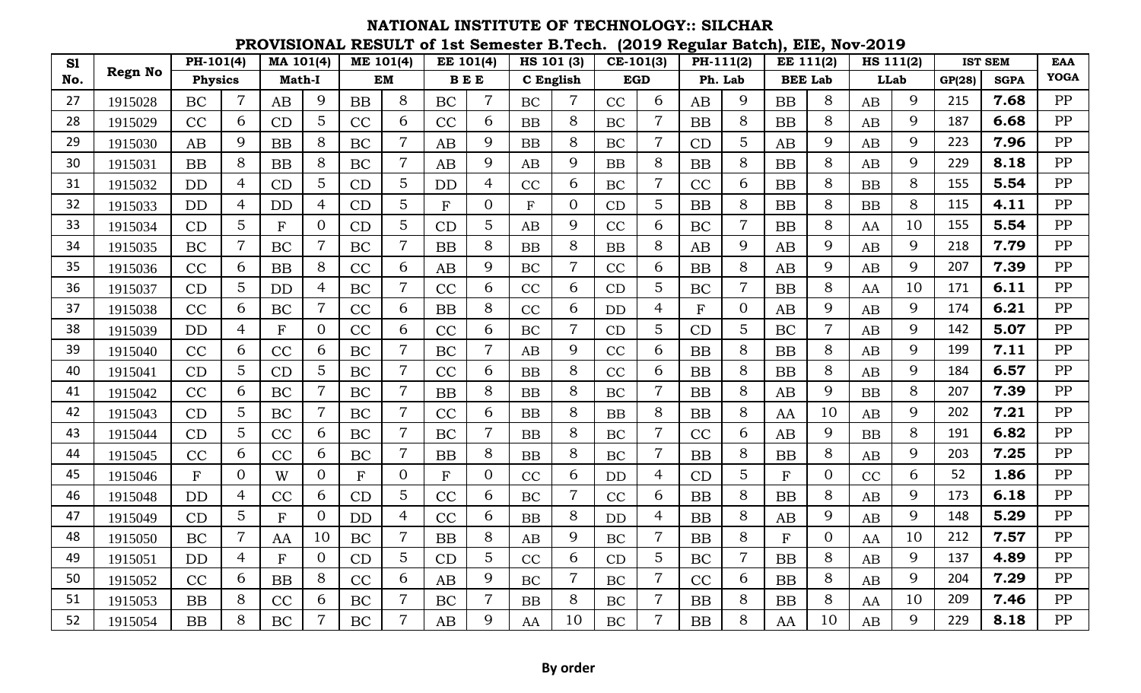## **PROVISIONAL RESULT of 1st Semester B.Tech. (2019 Regular Batch), EIE, Nov-2019 NATIONAL INSTITUTE OF TECHNOLOGY:: SILCHAR**

| S1  |                | $PH-101(4)$  |                | MA 101(4)    |                | ME 101(4)    |                | EE 101(4)    |                |           | HS 101 (3)     |            | $CE-101(3)$    | PH-111(2)    |                | EE 111(2)    |                | HS 111(2)   |    |        | <b>IST SEM</b> | <b>EAA</b>  |
|-----|----------------|--------------|----------------|--------------|----------------|--------------|----------------|--------------|----------------|-----------|----------------|------------|----------------|--------------|----------------|--------------|----------------|-------------|----|--------|----------------|-------------|
| No. | <b>Regn No</b> | Physics      |                | Math-I       |                | <b>EM</b>    |                | $B E E$      |                | C English |                | <b>EGD</b> |                |              | Ph. Lab        |              | <b>BEE Lab</b> | <b>LLab</b> |    | GP(28) | <b>SGPA</b>    | <b>YOGA</b> |
| 27  | 1915028        | <b>BC</b>    |                | AB           | 9              | <b>BB</b>    | 8              | BC           | $\overline{7}$ | <b>BC</b> |                | CC         | 6              | AB           | 9              | BB           | 8              | AB          | 9  | 215    | 7.68           | PP          |
| 28  | 1915029        | CC           | 6              | CD           | 5              | CC           | 6              | CC           | 6              | <b>BB</b> | 8              | BC         | $\overline{7}$ | BB           | $8\,$          | <b>BB</b>    | 8              | AB          | 9  | 187    | 6.68           | PP          |
| 29  | 1915030        | AB           | 9              | <b>BB</b>    | 8              | BC           | $\overline{7}$ | AB           | 9              | BB        | 8              | <b>BC</b>  | $\overline{7}$ | CD           | 5              | AB           | 9              | AB          | 9  | 223    | 7.96           | PP          |
| 30  | 1915031        | <b>BB</b>    | 8              | <b>BB</b>    | 8              | BC           | 7              | AB           | 9              | AB        | 9              | <b>BB</b>  | 8              | <b>BB</b>    | 8              | <b>BB</b>    | 8              | AB          | 9  | 229    | 8.18           | PP          |
| 31  | 1915032        | <b>DD</b>    | 4              | CD           | 5              | CD           | 5              | <b>DD</b>    | 4              | CC        | 6              | <b>BC</b>  | $\overline{7}$ | CC           | 6              | <b>BB</b>    | 8              | <b>BB</b>   | 8  | 155    | 5.54           | PP          |
| 32  | 1915033        | <b>DD</b>    | $\overline{4}$ | <b>DD</b>    | $\overline{4}$ | CD           | 5              | F            | $\Omega$       | F         | $\Omega$       | CD         | 5              | <b>BB</b>    | 8              | <b>BB</b>    | 8              | BB          | 8  | 115    | 4.11           | PP          |
| 33  | 1915034        | CD           | 5              | $\mathbf{F}$ | $\Omega$       | CD           | 5              | CD           | 5              | AB        | 9              | CC         | 6              | BC           | $\overline{7}$ | <b>BB</b>    | 8              | AA          | 10 | 155    | 5.54           | PP          |
| 34  | 1915035        | BC           | $\overline{7}$ | BC           | $\overline{7}$ | BC           | 7              | BB           | 8              | BB        | 8              | <b>BB</b>  | 8              | AB           | 9              | AB           | 9              | AB          | 9  | 218    | 7.79           | PP          |
| 35  | 1915036        | CC           | 6              | <b>BB</b>    | 8              | CC           | 6              | AB           | 9              | <b>BC</b> | 7              | CC         | 6              | <b>BB</b>    | 8              | AB           | 9              | AB          | 9  | 207    | 7.39           | PP          |
| 36  | 1915037        | CD           | 5              | <b>DD</b>    | $\overline{4}$ | BC           | $\overline{7}$ | CC           | 6              | CC        | 6              | CD         | 5              | BC           | $\overline{7}$ | <b>BB</b>    | 8              | AA          | 10 | 171    | 6.11           | PP          |
| 37  | 1915038        | CC           | 6              | BC           | $\overline{7}$ | CC           | 6              | BB           | 8              | CC        | 6              | <b>DD</b>  | 4              | $\mathbf{F}$ | $\overline{0}$ | AB           | 9              | AB          | 9  | 174    | 6.21           | PP          |
| 38  | 1915039        | <b>DD</b>    | 4              | $\mathbf{F}$ | $\overline{0}$ | CC           | 6              | CC           | 6              | <b>BC</b> | $\overline{7}$ | CD         | 5              | CD           | 5              | <b>BC</b>    | $\overline{7}$ | AB          | 9  | 142    | 5.07           | PP          |
| 39  | 1915040        | CC           | 6              | CC           | 6              | BC           | $\overline{7}$ | BC           | 7              | AB        | 9              | CC         | 6              | <b>BB</b>    | 8              | <b>BB</b>    | 8              | AB          | 9  | 199    | 7.11           | PP          |
| 40  | 1915041        | CD           | 5              | CD           | 5              | BC           | $\overline{7}$ | CC           | 6              | <b>BB</b> | 8              | CC         | 6              | <b>BB</b>    | 8              | <b>BB</b>    | 8              | AB          | 9  | 184    | 6.57           | PP          |
| 41  | 1915042        | CC           | 6              | BC           | $\overline{7}$ | BC           | $\overline{7}$ | <b>BB</b>    | 8              | <b>BB</b> | 8              | BC         | $\overline{7}$ | <b>BB</b>    | 8              | AB           | 9              | <b>BB</b>   | 8  | 207    | 7.39           | PP          |
| 42  | 1915043        | CD           | 5              | BC           | $\overline{7}$ | BC           | 7              | CC           | 6              | BB        | 8              | <b>BB</b>  | 8              | <b>BB</b>    | 8              | AA           | 10             | AB          | 9  | 202    | 7.21           | PP          |
| 43  | 1915044        | CD           | 5              | CC           | 6              | BC           | $\overline{7}$ | BC           | $\overline{7}$ | <b>BB</b> | 8              | BC         | $\overline{7}$ | CC           | 6              | AB           | 9              | <b>BB</b>   | 8  | 191    | 6.82           | PP          |
| 44  | 1915045        | CC           | 6              | CC           | 6              | BC           | $\overline{7}$ | <b>BB</b>    | 8              | <b>BB</b> | 8              | <b>BC</b>  | $\overline{7}$ | <b>BB</b>    | 8              | <b>BB</b>    | 8              | AB          | 9  | 203    | 7.25           | PP          |
| 45  | 1915046        | $\mathbf{F}$ | $\Omega$       | W            | $\overline{0}$ | $\mathbf{F}$ | $\theta$       | $\mathbf{F}$ | $\Omega$       | CC        | 6              | <b>DD</b>  | 4              | CD           | 5              | $\mathbf{F}$ | $\overline{0}$ | CC          | 6  | 52     | 1.86           | PP          |
| 46  | 1915048        | DD           | 4              | CC           | 6              | CD           | 5              | CC           | 6              | BC        | 7              | CC         | 6              | <b>BB</b>    | 8              | <b>BB</b>    | 8              | AB          | 9  | 173    | 6.18           | PP          |
| 47  | 1915049        | CD           | 5              | F            | $\overline{0}$ | <b>DD</b>    | $\overline{4}$ | CC           | 6              | <b>BB</b> | 8              | <b>DD</b>  | 4              | <b>BB</b>    | 8              | AB           | 9              | AB          | 9  | 148    | 5.29           | PP          |
| 48  | 1915050        | BC           | 7              | AA           | 10             | BC           | 7              | <b>BB</b>    | 8              | AB        | 9              | <b>BC</b>  | 7              | <b>BB</b>    | 8              | $\mathbf{F}$ | $\overline{0}$ | AA          | 10 | 212    | 7.57           | PP          |
| 49  | 1915051        | DD           | 4              | $\mathbf{F}$ | $\overline{0}$ | CD           | 5              | CD           | 5              | CC        | 6              | CD         | 5              | <b>BC</b>    | $\overline{7}$ | <b>BB</b>    | 8              | AB          | 9  | 137    | 4.89           | PP          |
| 50  | 1915052        | CC           | 6              | <b>BB</b>    | 8              | CC           | 6              | AB           | 9              | BC        | $\overline{7}$ | <b>BC</b>  | $\overline{7}$ | CC           | 6              | <b>BB</b>    | 8              | AB          | 9  | 204    | 7.29           | PP          |
| 51  | 1915053        | BB           | 8              | CC           | 6              | BC           | 7              | BC           | 7              | BB        | 8              | BC         | 7              | <b>BB</b>    | 8              | BB           | 8              | AA          | 10 | 209    | 7.46           | PP          |
| 52  | 1915054        | <b>BB</b>    | 8              | <b>BC</b>    | $\overline{7}$ | <b>BC</b>    |                | AB           | 9              | AA        | 10             | <b>BC</b>  | $\overline{7}$ | <b>BB</b>    | 8              | AA           | 10             | AB          | 9  | 229    | 8.18           | PP          |